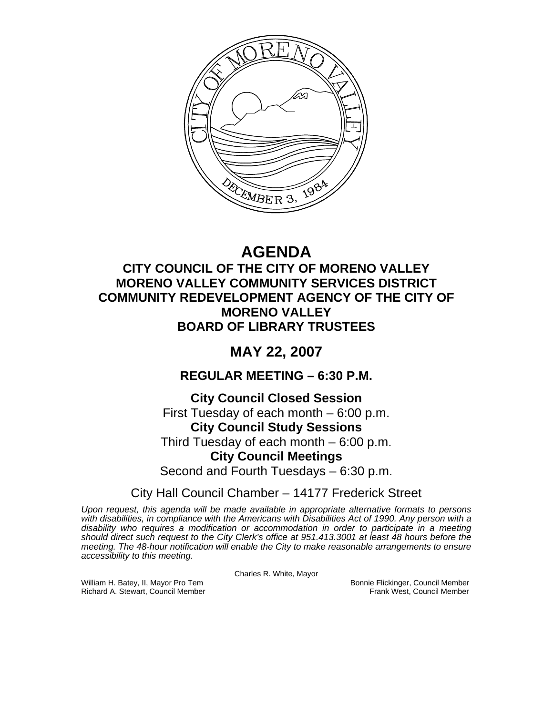

# **AGENDA**

## **CITY COUNCIL OF THE CITY OF MORENO VALLEY MORENO VALLEY COMMUNITY SERVICES DISTRICT COMMUNITY REDEVELOPMENT AGENCY OF THE CITY OF MORENO VALLEY BOARD OF LIBRARY TRUSTEES**

## **MAY 22, 2007**

## **REGULAR MEETING – 6:30 P.M.**

## **City Council Closed Session**

First Tuesday of each month – 6:00 p.m.

## **City Council Study Sessions**

Third Tuesday of each month – 6:00 p.m.

## **City Council Meetings**

Second and Fourth Tuesdays – 6:30 p.m.

## City Hall Council Chamber – 14177 Frederick Street

*Upon request, this agenda will be made available in appropriate alternative formats to persons with disabilities, in compliance with the Americans with Disabilities Act of 1990. Any person with a disability who requires a modification or accommodation in order to participate in a meeting should direct such request to the City Clerk's office at 951.413.3001 at least 48 hours before the meeting. The 48-hour notification will enable the City to make reasonable arrangements to ensure accessibility to this meeting.* 

Charles R. White, Mayor

William H. Batey, II, Mayor Pro Tem Bonnie Flickinger, Council Member<br>Richard A. Stewart, Council Member Bonnie Frank West, Council Member Richard A. Stewart, Council Member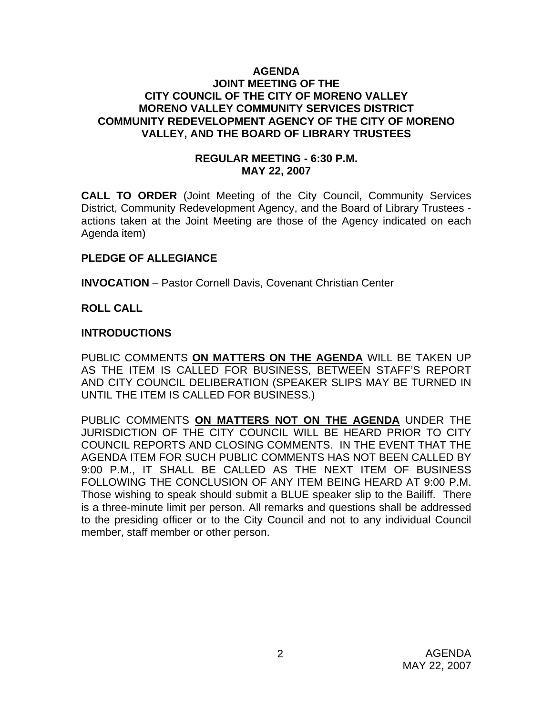#### **AGENDA JOINT MEETING OF THE CITY COUNCIL OF THE CITY OF MORENO VALLEY MORENO VALLEY COMMUNITY SERVICES DISTRICT COMMUNITY REDEVELOPMENT AGENCY OF THE CITY OF MORENO VALLEY, AND THE BOARD OF LIBRARY TRUSTEES**

#### **REGULAR MEETING - 6:30 P.M. MAY 22, 2007**

**CALL TO ORDER** (Joint Meeting of the City Council, Community Services District, Community Redevelopment Agency, and the Board of Library Trustees actions taken at the Joint Meeting are those of the Agency indicated on each Agenda item)

#### **PLEDGE OF ALLEGIANCE**

**INVOCATION** – Pastor Cornell Davis, Covenant Christian Center

#### **ROLL CALL**

#### **INTRODUCTIONS**

PUBLIC COMMENTS **ON MATTERS ON THE AGENDA** WILL BE TAKEN UP AS THE ITEM IS CALLED FOR BUSINESS, BETWEEN STAFF'S REPORT AND CITY COUNCIL DELIBERATION (SPEAKER SLIPS MAY BE TURNED IN UNTIL THE ITEM IS CALLED FOR BUSINESS.)

PUBLIC COMMENTS **ON MATTERS NOT ON THE AGENDA** UNDER THE JURISDICTION OF THE CITY COUNCIL WILL BE HEARD PRIOR TO CITY COUNCIL REPORTS AND CLOSING COMMENTS. IN THE EVENT THAT THE AGENDA ITEM FOR SUCH PUBLIC COMMENTS HAS NOT BEEN CALLED BY 9:00 P.M., IT SHALL BE CALLED AS THE NEXT ITEM OF BUSINESS FOLLOWING THE CONCLUSION OF ANY ITEM BEING HEARD AT 9:00 P.M. Those wishing to speak should submit a BLUE speaker slip to the Bailiff. There is a three-minute limit per person. All remarks and questions shall be addressed to the presiding officer or to the City Council and not to any individual Council member, staff member or other person.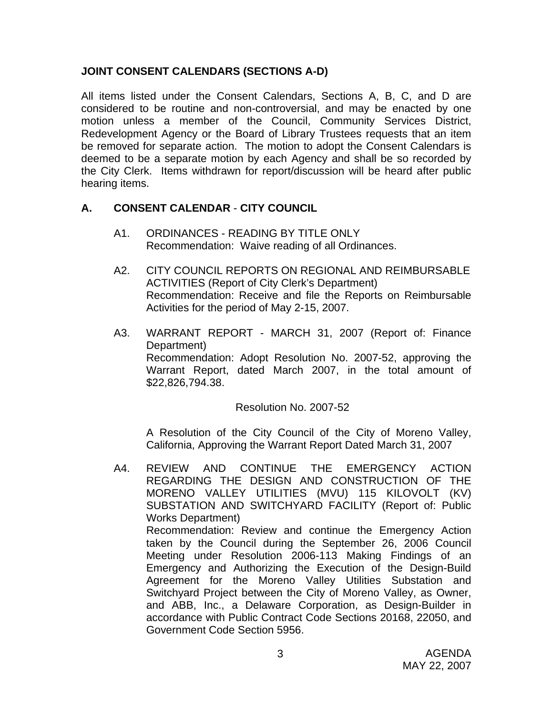#### **JOINT CONSENT CALENDARS (SECTIONS A-D)**

All items listed under the Consent Calendars, Sections A, B, C, and D are considered to be routine and non-controversial, and may be enacted by one motion unless a member of the Council, Community Services District, Redevelopment Agency or the Board of Library Trustees requests that an item be removed for separate action. The motion to adopt the Consent Calendars is deemed to be a separate motion by each Agency and shall be so recorded by the City Clerk. Items withdrawn for report/discussion will be heard after public hearing items.

#### **A. CONSENT CALENDAR** - **CITY COUNCIL**

- A1. ORDINANCES READING BY TITLE ONLY Recommendation: Waive reading of all Ordinances.
- A2. CITY COUNCIL REPORTS ON REGIONAL AND REIMBURSABLE ACTIVITIES (Report of City Clerk's Department) Recommendation: Receive and file the Reports on Reimbursable Activities for the period of May 2-15, 2007.
- A3. WARRANT REPORT MARCH 31, 2007 (Report of: Finance Department) Recommendation: Adopt Resolution No. 2007-52, approving the Warrant Report, dated March 2007, in the total amount of \$22,826,794.38.

#### Resolution No. 2007-52

A Resolution of the City Council of the City of Moreno Valley, California, Approving the Warrant Report Dated March 31, 2007

A4. REVIEW AND CONTINUE THE EMERGENCY ACTION REGARDING THE DESIGN AND CONSTRUCTION OF THE MORENO VALLEY UTILITIES (MVU) 115 KILOVOLT (KV) SUBSTATION AND SWITCHYARD FACILITY (Report of: Public Works Department) Recommendation: Review and continue the Emergency Action taken by the Council during the September 26, 2006 Council Meeting under Resolution 2006-113 Making Findings of an Emergency and Authorizing the Execution of the Design-Build Agreement for the Moreno Valley Utilities Substation and Switchyard Project between the City of Moreno Valley, as Owner, and ABB, Inc., a Delaware Corporation, as Design-Builder in accordance with Public Contract Code Sections 20168, 22050, and Government Code Section 5956.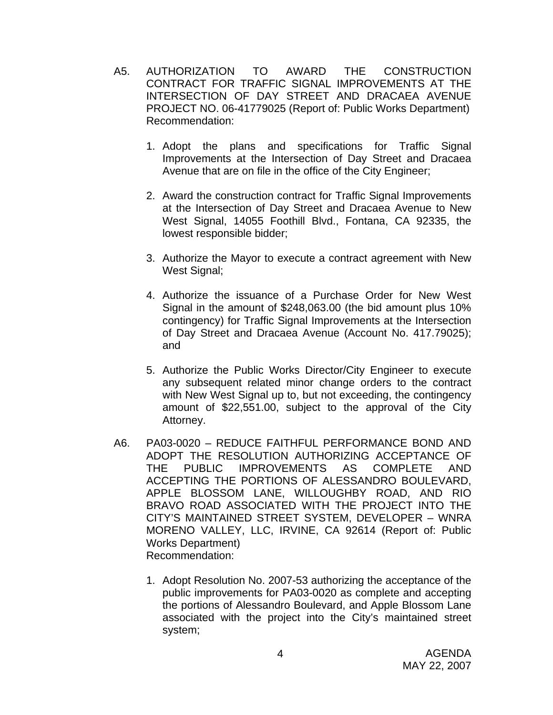- A5. AUTHORIZATION TO AWARD THE CONSTRUCTION CONTRACT FOR TRAFFIC SIGNAL IMPROVEMENTS AT THE INTERSECTION OF DAY STREET AND DRACAEA AVENUE PROJECT NO. 06-41779025 (Report of: Public Works Department) Recommendation:
	- 1. Adopt the plans and specifications for Traffic Signal Improvements at the Intersection of Day Street and Dracaea Avenue that are on file in the office of the City Engineer;
	- 2. Award the construction contract for Traffic Signal Improvements at the Intersection of Day Street and Dracaea Avenue to New West Signal, 14055 Foothill Blvd., Fontana, CA 92335, the lowest responsible bidder;
	- 3. Authorize the Mayor to execute a contract agreement with New West Signal;
	- 4. Authorize the issuance of a Purchase Order for New West Signal in the amount of \$248,063.00 (the bid amount plus 10% contingency) for Traffic Signal Improvements at the Intersection of Day Street and Dracaea Avenue (Account No. 417.79025); and
	- 5. Authorize the Public Works Director/City Engineer to execute any subsequent related minor change orders to the contract with New West Signal up to, but not exceeding, the contingency amount of \$22,551.00, subject to the approval of the City Attorney.
- A6. PA03-0020 REDUCE FAITHFUL PERFORMANCE BOND AND ADOPT THE RESOLUTION AUTHORIZING ACCEPTANCE OF THE PUBLIC IMPROVEMENTS AS COMPLETE AND ACCEPTING THE PORTIONS OF ALESSANDRO BOULEVARD, APPLE BLOSSOM LANE, WILLOUGHBY ROAD, AND RIO BRAVO ROAD ASSOCIATED WITH THE PROJECT INTO THE CITY'S MAINTAINED STREET SYSTEM, DEVELOPER – WNRA MORENO VALLEY, LLC, IRVINE, CA 92614 (Report of: Public Works Department) Recommendation:
	- 1. Adopt Resolution No. 2007-53 authorizing the acceptance of the public improvements for PA03-0020 as complete and accepting the portions of Alessandro Boulevard, and Apple Blossom Lane associated with the project into the City's maintained street system;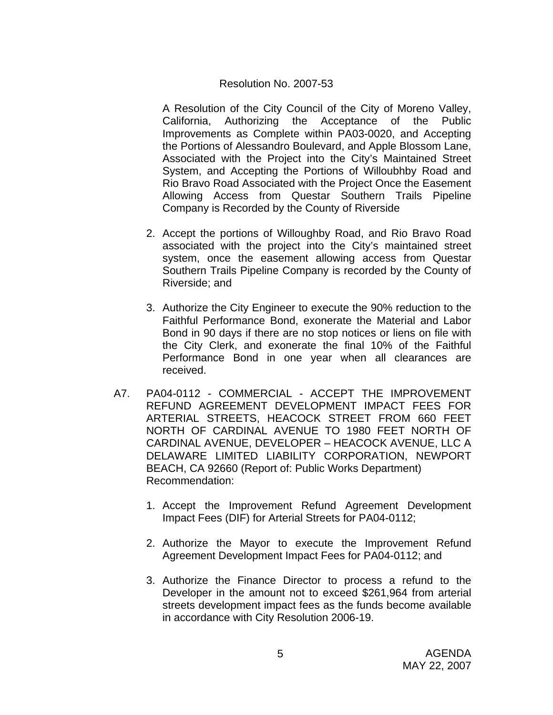#### Resolution No. 2007-53

A Resolution of the City Council of the City of Moreno Valley, California, Authorizing the Acceptance of the Public Improvements as Complete within PA03-0020, and Accepting the Portions of Alessandro Boulevard, and Apple Blossom Lane, Associated with the Project into the City's Maintained Street System, and Accepting the Portions of Willoubhby Road and Rio Bravo Road Associated with the Project Once the Easement Allowing Access from Questar Southern Trails Pipeline Company is Recorded by the County of Riverside

- 2. Accept the portions of Willoughby Road, and Rio Bravo Road associated with the project into the City's maintained street system, once the easement allowing access from Questar Southern Trails Pipeline Company is recorded by the County of Riverside; and
- 3. Authorize the City Engineer to execute the 90% reduction to the Faithful Performance Bond, exonerate the Material and Labor Bond in 90 days if there are no stop notices or liens on file with the City Clerk, and exonerate the final 10% of the Faithful Performance Bond in one year when all clearances are received.
- A7. PA04-0112 COMMERCIAL ACCEPT THE IMPROVEMENT REFUND AGREEMENT DEVELOPMENT IMPACT FEES FOR ARTERIAL STREETS, HEACOCK STREET FROM 660 FEET NORTH OF CARDINAL AVENUE TO 1980 FEET NORTH OF CARDINAL AVENUE, DEVELOPER – HEACOCK AVENUE, LLC A DELAWARE LIMITED LIABILITY CORPORATION, NEWPORT BEACH, CA 92660 (Report of: Public Works Department) Recommendation:
	- 1. Accept the Improvement Refund Agreement Development Impact Fees (DIF) for Arterial Streets for PA04-0112;
	- 2. Authorize the Mayor to execute the Improvement Refund Agreement Development Impact Fees for PA04-0112; and
	- 3. Authorize the Finance Director to process a refund to the Developer in the amount not to exceed \$261,964 from arterial streets development impact fees as the funds become available in accordance with City Resolution 2006-19.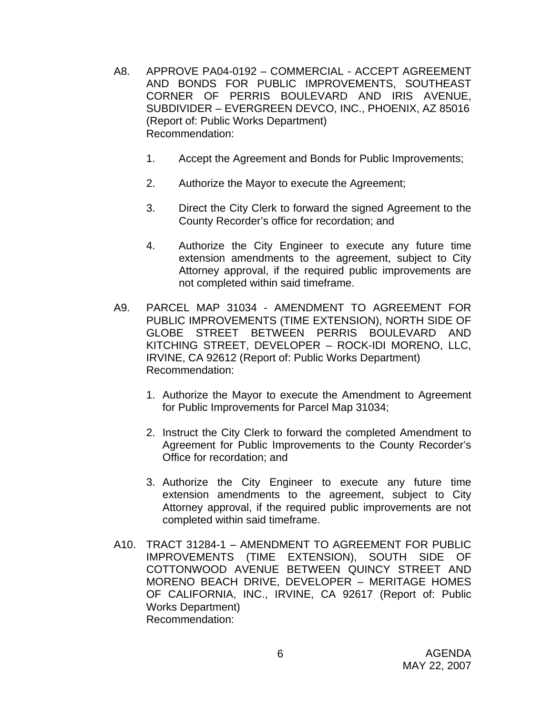- A8. APPROVE PA04-0192 COMMERCIAL ACCEPT AGREEMENT AND BONDS FOR PUBLIC IMPROVEMENTS, SOUTHEAST CORNER OF PERRIS BOULEVARD AND IRIS AVENUE, SUBDIVIDER – EVERGREEN DEVCO, INC., PHOENIX, AZ 85016 (Report of: Public Works Department) Recommendation:
	- 1. Accept the Agreement and Bonds for Public Improvements;
	- 2. Authorize the Mayor to execute the Agreement;
	- 3. Direct the City Clerk to forward the signed Agreement to the County Recorder's office for recordation; and
	- 4. Authorize the City Engineer to execute any future time extension amendments to the agreement, subject to City Attorney approval, if the required public improvements are not completed within said timeframe.
- A9. PARCEL MAP 31034 AMENDMENT TO AGREEMENT FOR PUBLIC IMPROVEMENTS (TIME EXTENSION), NORTH SIDE OF GLOBE STREET BETWEEN PERRIS BOULEVARD AND KITCHING STREET, DEVELOPER – ROCK-IDI MORENO, LLC, IRVINE, CA 92612 (Report of: Public Works Department) Recommendation:
	- 1. Authorize the Mayor to execute the Amendment to Agreement for Public Improvements for Parcel Map 31034;
	- 2. Instruct the City Clerk to forward the completed Amendment to Agreement for Public Improvements to the County Recorder's Office for recordation; and
	- 3. Authorize the City Engineer to execute any future time extension amendments to the agreement, subject to City Attorney approval, if the required public improvements are not completed within said timeframe.
- A10. TRACT 31284-1 AMENDMENT TO AGREEMENT FOR PUBLIC IMPROVEMENTS (TIME EXTENSION), SOUTH SIDE OF COTTONWOOD AVENUE BETWEEN QUINCY STREET AND MORENO BEACH DRIVE, DEVELOPER – MERITAGE HOMES OF CALIFORNIA, INC., IRVINE, CA 92617 (Report of: Public Works Department) Recommendation: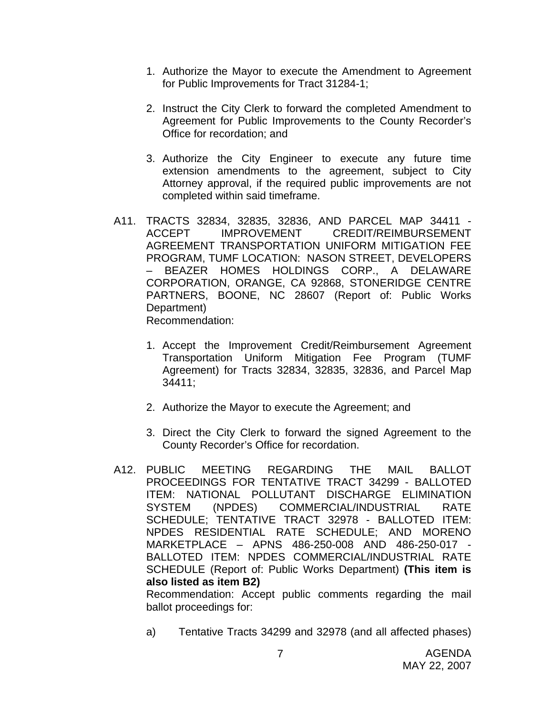- 1. Authorize the Mayor to execute the Amendment to Agreement for Public Improvements for Tract 31284-1;
- 2. Instruct the City Clerk to forward the completed Amendment to Agreement for Public Improvements to the County Recorder's Office for recordation; and
- 3. Authorize the City Engineer to execute any future time extension amendments to the agreement, subject to City Attorney approval, if the required public improvements are not completed within said timeframe.
- A11. TRACTS 32834, 32835, 32836, AND PARCEL MAP 34411 ACCEPT IMPROVEMENT CREDIT/REIMBURSEMENT AGREEMENT TRANSPORTATION UNIFORM MITIGATION FEE PROGRAM, TUMF LOCATION: NASON STREET, DEVELOPERS – BEAZER HOMES HOLDINGS CORP., A DELAWARE CORPORATION, ORANGE, CA 92868, STONERIDGE CENTRE PARTNERS, BOONE, NC 28607 (Report of: Public Works Department) Recommendation:
	- 1. Accept the Improvement Credit/Reimbursement Agreement Transportation Uniform Mitigation Fee Program (TUMF Agreement) for Tracts 32834, 32835, 32836, and Parcel Map 34411;
	- 2. Authorize the Mayor to execute the Agreement; and
	- 3. Direct the City Clerk to forward the signed Agreement to the County Recorder's Office for recordation.
- A12. PUBLIC MEETING REGARDING THE MAIL BALLOT PROCEEDINGS FOR TENTATIVE TRACT 34299 - BALLOTED ITEM: NATIONAL POLLUTANT DISCHARGE ELIMINATION SYSTEM (NPDES) COMMERCIAL/INDUSTRIAL RATE SCHEDULE; TENTATIVE TRACT 32978 - BALLOTED ITEM: NPDES RESIDENTIAL RATE SCHEDULE; AND MORENO MARKETPLACE – APNS 486-250-008 AND 486-250-017 - BALLOTED ITEM: NPDES COMMERCIAL/INDUSTRIAL RATE SCHEDULE (Report of: Public Works Department) **(This item is also listed as item B2)**

 Recommendation: Accept public comments regarding the mail ballot proceedings for:

a) Tentative Tracts 34299 and 32978 (and all affected phases)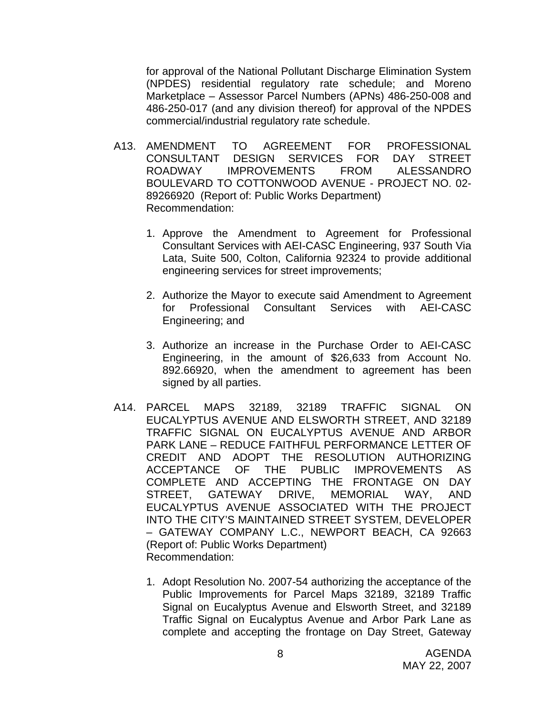for approval of the National Pollutant Discharge Elimination System (NPDES) residential regulatory rate schedule; and Moreno Marketplace – Assessor Parcel Numbers (APNs) 486-250-008 and 486-250-017 (and any division thereof) for approval of the NPDES commercial/industrial regulatory rate schedule.

- A13. AMENDMENT TO AGREEMENT FOR PROFESSIONAL CONSULTANT DESIGN SERVICES FOR DAY STREET ROADWAY IMPROVEMENTS FROM ALESSANDRO BOULEVARD TO COTTONWOOD AVENUE - PROJECT NO. 02- 89266920 (Report of: Public Works Department) Recommendation:
	- 1. Approve the Amendment to Agreement for Professional Consultant Services with AEI-CASC Engineering, 937 South Via Lata, Suite 500, Colton, California 92324 to provide additional engineering services for street improvements;
	- 2. Authorize the Mayor to execute said Amendment to Agreement for Professional Consultant Services with AEI-CASC Engineering; and
	- 3. Authorize an increase in the Purchase Order to AEI-CASC Engineering, in the amount of \$26,633 from Account No. 892.66920, when the amendment to agreement has been signed by all parties.
- A14. PARCEL MAPS 32189, 32189 TRAFFIC SIGNAL ON EUCALYPTUS AVENUE AND ELSWORTH STREET, AND 32189 TRAFFIC SIGNAL ON EUCALYPTUS AVENUE AND ARBOR PARK LANE – REDUCE FAITHFUL PERFORMANCE LETTER OF CREDIT AND ADOPT THE RESOLUTION AUTHORIZING ACCEPTANCE OF THE PUBLIC IMPROVEMENTS AS COMPLETE AND ACCEPTING THE FRONTAGE ON DAY STREET, GATEWAY DRIVE, MEMORIAL WAY, AND EUCALYPTUS AVENUE ASSOCIATED WITH THE PROJECT INTO THE CITY'S MAINTAINED STREET SYSTEM, DEVELOPER – GATEWAY COMPANY L.C., NEWPORT BEACH, CA 92663 (Report of: Public Works Department) Recommendation:
	- 1. Adopt Resolution No. 2007-54 authorizing the acceptance of the Public Improvements for Parcel Maps 32189, 32189 Traffic Signal on Eucalyptus Avenue and Elsworth Street, and 32189 Traffic Signal on Eucalyptus Avenue and Arbor Park Lane as complete and accepting the frontage on Day Street, Gateway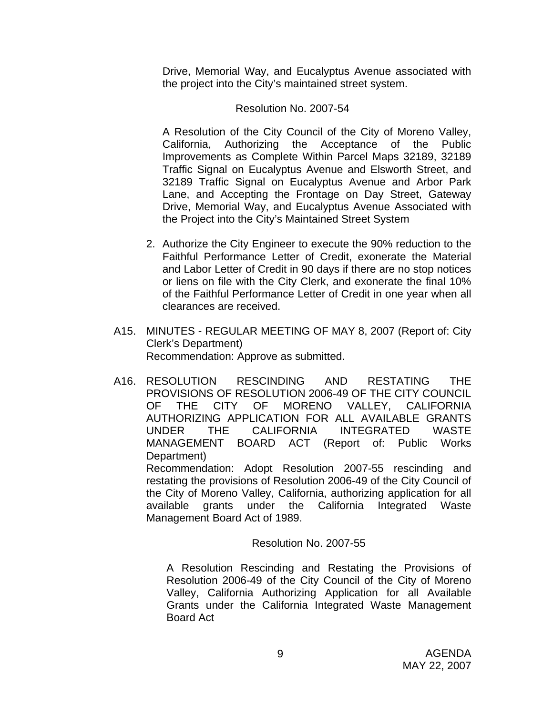Drive, Memorial Way, and Eucalyptus Avenue associated with the project into the City's maintained street system.

#### Resolution No. 2007-54

 A Resolution of the City Council of the City of Moreno Valley, California, Authorizing the Acceptance of the Public Improvements as Complete Within Parcel Maps 32189, 32189 Traffic Signal on Eucalyptus Avenue and Elsworth Street, and 32189 Traffic Signal on Eucalyptus Avenue and Arbor Park Lane, and Accepting the Frontage on Day Street, Gateway Drive, Memorial Way, and Eucalyptus Avenue Associated with the Project into the City's Maintained Street System

- 2. Authorize the City Engineer to execute the 90% reduction to the Faithful Performance Letter of Credit, exonerate the Material and Labor Letter of Credit in 90 days if there are no stop notices or liens on file with the City Clerk, and exonerate the final 10% of the Faithful Performance Letter of Credit in one year when all clearances are received.
- A15. MINUTES REGULAR MEETING OF MAY 8, 2007 (Report of: City Clerk's Department) Recommendation: Approve as submitted.
- A16. RESOLUTION RESCINDING AND RESTATING THE PROVISIONS OF RESOLUTION 2006-49 OF THE CITY COUNCIL OF THE CITY OF MORENO VALLEY, CALIFORNIA AUTHORIZING APPLICATION FOR ALL AVAILABLE GRANTS UNDER THE CALIFORNIA INTEGRATED WASTE MANAGEMENT BOARD ACT (Report of: Public Works Department)

 Recommendation: Adopt Resolution 2007-55 rescinding and restating the provisions of Resolution 2006-49 of the City Council of the City of Moreno Valley, California, authorizing application for all available grants under the California Integrated Waste Management Board Act of 1989.

#### Resolution No. 2007-55

A Resolution Rescinding and Restating the Provisions of Resolution 2006-49 of the City Council of the City of Moreno Valley, California Authorizing Application for all Available Grants under the California Integrated Waste Management Board Act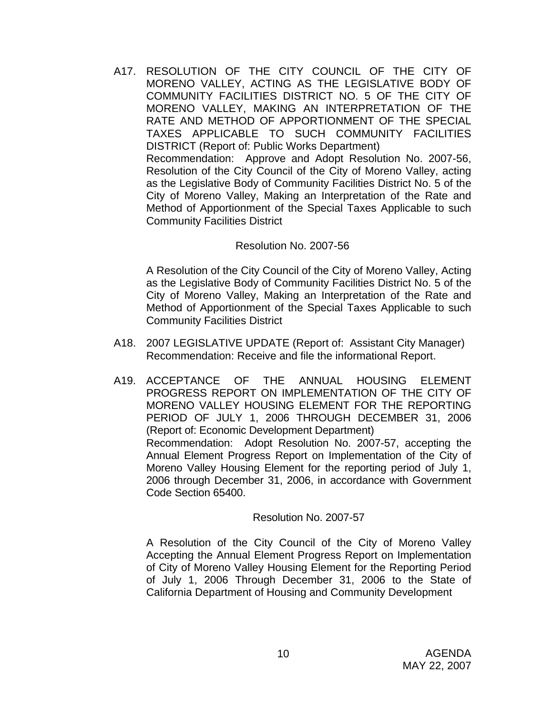A17. RESOLUTION OF THE CITY COUNCIL OF THE CITY OF MORENO VALLEY, ACTING AS THE LEGISLATIVE BODY OF COMMUNITY FACILITIES DISTRICT NO. 5 OF THE CITY OF MORENO VALLEY, MAKING AN INTERPRETATION OF THE RATE AND METHOD OF APPORTIONMENT OF THE SPECIAL TAXES APPLICABLE TO SUCH COMMUNITY FACILITIES DISTRICT (Report of: Public Works Department) Recommendation: Approve and Adopt Resolution No. 2007-56, Resolution of the City Council of the City of Moreno Valley, acting as the Legislative Body of Community Facilities District No. 5 of the City of Moreno Valley, Making an Interpretation of the Rate and Method of Apportionment of the Special Taxes Applicable to such Community Facilities District

#### Resolution No. 2007-56

A Resolution of the City Council of the City of Moreno Valley, Acting as the Legislative Body of Community Facilities District No. 5 of the City of Moreno Valley, Making an Interpretation of the Rate and Method of Apportionment of the Special Taxes Applicable to such Community Facilities District

- A18. 2007 LEGISLATIVE UPDATE (Report of: Assistant City Manager) Recommendation: Receive and file the informational Report.
- A19. ACCEPTANCE OF THE ANNUAL HOUSING ELEMENT PROGRESS REPORT ON IMPLEMENTATION OF THE CITY OF MORENO VALLEY HOUSING ELEMENT FOR THE REPORTING PERIOD OF JULY 1, 2006 THROUGH DECEMBER 31, 2006 (Report of: Economic Development Department) Recommendation: Adopt Resolution No. 2007-57, accepting the Annual Element Progress Report on Implementation of the City of Moreno Valley Housing Element for the reporting period of July 1, 2006 through December 31, 2006, in accordance with Government Code Section 65400.

#### Resolution No. 2007-57

A Resolution of the City Council of the City of Moreno Valley Accepting the Annual Element Progress Report on Implementation of City of Moreno Valley Housing Element for the Reporting Period of July 1, 2006 Through December 31, 2006 to the State of California Department of Housing and Community Development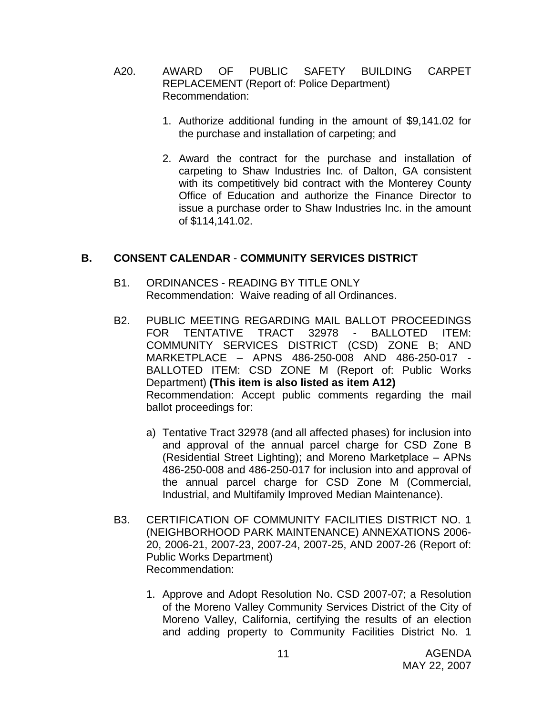- A20. AWARD OF PUBLIC SAFETY BUILDING CARPET REPLACEMENT (Report of: Police Department) Recommendation:
	- 1. Authorize additional funding in the amount of \$9,141.02 for the purchase and installation of carpeting; and
	- 2. Award the contract for the purchase and installation of carpeting to Shaw Industries Inc. of Dalton, GA consistent with its competitively bid contract with the Monterey County Office of Education and authorize the Finance Director to issue a purchase order to Shaw Industries Inc. in the amount of \$114,141.02.

#### **B. CONSENT CALENDAR** - **COMMUNITY SERVICES DISTRICT**

- B1. ORDINANCES READING BY TITLE ONLY Recommendation: Waive reading of all Ordinances.
- B2. PUBLIC MEETING REGARDING MAIL BALLOT PROCEEDINGS FOR TENTATIVE TRACT 32978 - BALLOTED ITEM: COMMUNITY SERVICES DISTRICT (CSD) ZONE B; AND MARKETPLACE – APNS 486-250-008 AND 486-250-017 - BALLOTED ITEM: CSD ZONE M (Report of: Public Works Department) **(This item is also listed as item A12)**  Recommendation: Accept public comments regarding the mail ballot proceedings for:
	- a) Tentative Tract 32978 (and all affected phases) for inclusion into and approval of the annual parcel charge for CSD Zone B (Residential Street Lighting); and Moreno Marketplace – APNs 486-250-008 and 486-250-017 for inclusion into and approval of the annual parcel charge for CSD Zone M (Commercial, Industrial, and Multifamily Improved Median Maintenance).
- B3. CERTIFICATION OF COMMUNITY FACILITIES DISTRICT NO. 1 (NEIGHBORHOOD PARK MAINTENANCE) ANNEXATIONS 2006- 20, 2006-21, 2007-23, 2007-24, 2007-25, AND 2007-26 (Report of: Public Works Department) Recommendation:
	- 1. Approve and Adopt Resolution No. CSD 2007-07; a Resolution of the Moreno Valley Community Services District of the City of Moreno Valley, California, certifying the results of an election and adding property to Community Facilities District No. 1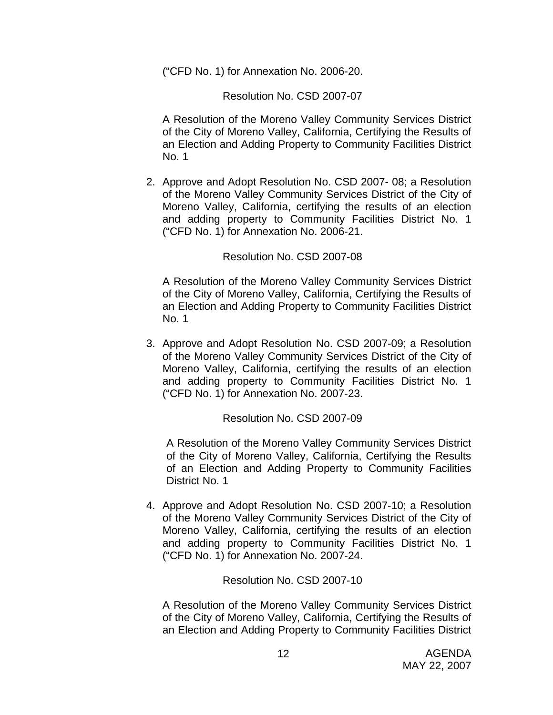("CFD No. 1) for Annexation No. 2006-20.

Resolution No. CSD 2007-07

A Resolution of the Moreno Valley Community Services District of the City of Moreno Valley, California, Certifying the Results of an Election and Adding Property to Community Facilities District No. 1

2. Approve and Adopt Resolution No. CSD 2007- 08; a Resolution of the Moreno Valley Community Services District of the City of Moreno Valley, California, certifying the results of an election and adding property to Community Facilities District No. 1 ("CFD No. 1) for Annexation No. 2006-21.

#### Resolution No. CSD 2007-08

A Resolution of the Moreno Valley Community Services District of the City of Moreno Valley, California, Certifying the Results of an Election and Adding Property to Community Facilities District No. 1

3. Approve and Adopt Resolution No. CSD 2007-09; a Resolution of the Moreno Valley Community Services District of the City of Moreno Valley, California, certifying the results of an election and adding property to Community Facilities District No. 1 ("CFD No. 1) for Annexation No. 2007-23.

#### Resolution No. CSD 2007-09

A Resolution of the Moreno Valley Community Services District of the City of Moreno Valley, California, Certifying the Results of an Election and Adding Property to Community Facilities District No. 1

4. Approve and Adopt Resolution No. CSD 2007-10; a Resolution of the Moreno Valley Community Services District of the City of Moreno Valley, California, certifying the results of an election and adding property to Community Facilities District No. 1 ("CFD No. 1) for Annexation No. 2007-24.

#### Resolution No. CSD 2007-10

A Resolution of the Moreno Valley Community Services District of the City of Moreno Valley, California, Certifying the Results of an Election and Adding Property to Community Facilities District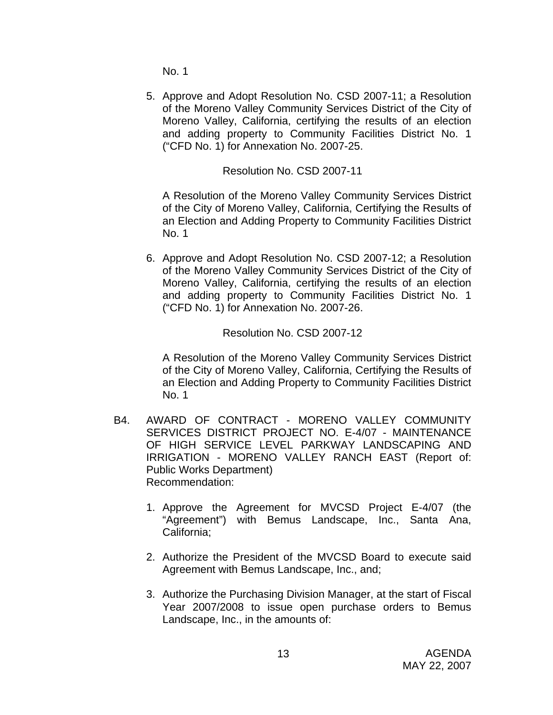No. 1

5. Approve and Adopt Resolution No. CSD 2007-11; a Resolution of the Moreno Valley Community Services District of the City of Moreno Valley, California, certifying the results of an election and adding property to Community Facilities District No. 1 ("CFD No. 1) for Annexation No. 2007-25.

Resolution No. CSD 2007-11

A Resolution of the Moreno Valley Community Services District of the City of Moreno Valley, California, Certifying the Results of an Election and Adding Property to Community Facilities District No. 1

6. Approve and Adopt Resolution No. CSD 2007-12; a Resolution of the Moreno Valley Community Services District of the City of Moreno Valley, California, certifying the results of an election and adding property to Community Facilities District No. 1 ("CFD No. 1) for Annexation No. 2007-26.

Resolution No. CSD 2007-12

A Resolution of the Moreno Valley Community Services District of the City of Moreno Valley, California, Certifying the Results of an Election and Adding Property to Community Facilities District No. 1

- B4. AWARD OF CONTRACT MORENO VALLEY COMMUNITY SERVICES DISTRICT PROJECT NO. E-4/07 - MAINTENANCE OF HIGH SERVICE LEVEL PARKWAY LANDSCAPING AND IRRIGATION - MORENO VALLEY RANCH EAST (Report of: Public Works Department) Recommendation:
	- 1. Approve the Agreement for MVCSD Project E-4/07 (the "Agreement") with Bemus Landscape, Inc., Santa Ana, California;
	- 2. Authorize the President of the MVCSD Board to execute said Agreement with Bemus Landscape, Inc., and;
	- 3. Authorize the Purchasing Division Manager, at the start of Fiscal Year 2007/2008 to issue open purchase orders to Bemus Landscape, Inc., in the amounts of: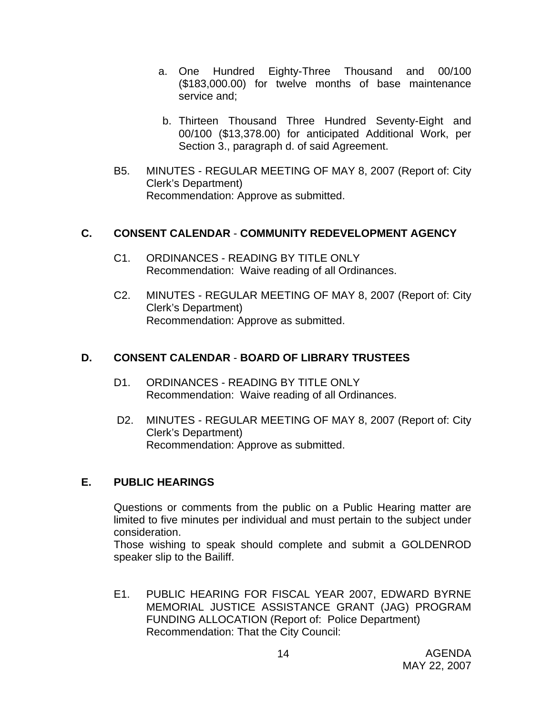- a. One Hundred Eighty-Three Thousand and 00/100 (\$183,000.00) for twelve months of base maintenance service and;
- b. Thirteen Thousand Three Hundred Seventy-Eight and 00/100 (\$13,378.00) for anticipated Additional Work, per Section 3., paragraph d. of said Agreement.
- B5. MINUTES REGULAR MEETING OF MAY 8, 2007 (Report of: City Clerk's Department) Recommendation: Approve as submitted.

#### **C. CONSENT CALENDAR** - **COMMUNITY REDEVELOPMENT AGENCY**

- C1. ORDINANCES READING BY TITLE ONLY Recommendation: Waive reading of all Ordinances.
- C2. MINUTES REGULAR MEETING OF MAY 8, 2007 (Report of: City Clerk's Department) Recommendation: Approve as submitted.

#### **D. CONSENT CALENDAR** - **BOARD OF LIBRARY TRUSTEES**

- D1. ORDINANCES READING BY TITLE ONLY Recommendation: Waive reading of all Ordinances.
- D2. MINUTES REGULAR MEETING OF MAY 8, 2007 (Report of: City Clerk's Department) Recommendation: Approve as submitted.

#### **E. PUBLIC HEARINGS**

Questions or comments from the public on a Public Hearing matter are limited to five minutes per individual and must pertain to the subject under consideration.

 Those wishing to speak should complete and submit a GOLDENROD speaker slip to the Bailiff.

E1. PUBLIC HEARING FOR FISCAL YEAR 2007, EDWARD BYRNE MEMORIAL JUSTICE ASSISTANCE GRANT (JAG) PROGRAM FUNDING ALLOCATION (Report of: Police Department) Recommendation: That the City Council: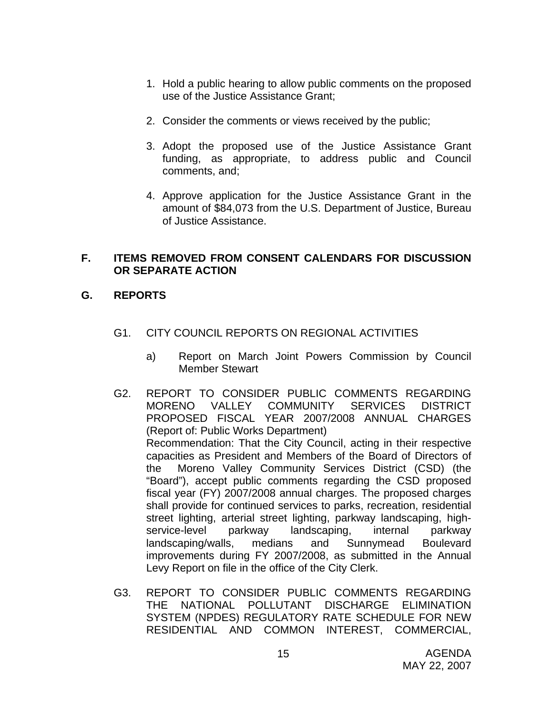- 1. Hold a public hearing to allow public comments on the proposed use of the Justice Assistance Grant;
- 2. Consider the comments or views received by the public;
- 3. Adopt the proposed use of the Justice Assistance Grant funding, as appropriate, to address public and Council comments, and;
- 4. Approve application for the Justice Assistance Grant in the amount of \$84,073 from the U.S. Department of Justice, Bureau of Justice Assistance.

#### **F. ITEMS REMOVED FROM CONSENT CALENDARS FOR DISCUSSION OR SEPARATE ACTION**

### **G. REPORTS**

- G1. CITY COUNCIL REPORTS ON REGIONAL ACTIVITIES
	- a) Report on March Joint Powers Commission by Council Member Stewart
- G2. REPORT TO CONSIDER PUBLIC COMMENTS REGARDING MORENO VALLEY COMMUNITY SERVICES DISTRICT PROPOSED FISCAL YEAR 2007/2008 ANNUAL CHARGES (Report of: Public Works Department) Recommendation: That the City Council, acting in their respective capacities as President and Members of the Board of Directors of the Moreno Valley Community Services District (CSD) (the "Board"), accept public comments regarding the CSD proposed fiscal year (FY) 2007/2008 annual charges. The proposed charges shall provide for continued services to parks, recreation, residential street lighting, arterial street lighting, parkway landscaping, highservice-level parkway landscaping, internal parkway landscaping/walls, medians and Sunnymead Boulevard improvements during FY 2007/2008, as submitted in the Annual Levy Report on file in the office of the City Clerk.
- G3. REPORT TO CONSIDER PUBLIC COMMENTS REGARDING THE NATIONAL POLLUTANT DISCHARGE ELIMINATION SYSTEM (NPDES) REGULATORY RATE SCHEDULE FOR NEW RESIDENTIAL AND COMMON INTEREST, COMMERCIAL,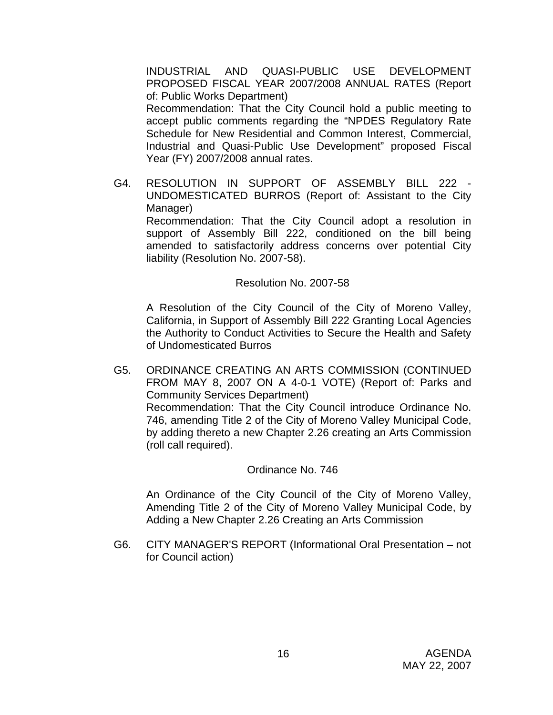INDUSTRIAL AND QUASI-PUBLIC USE DEVELOPMENT PROPOSED FISCAL YEAR 2007/2008 ANNUAL RATES (Report of: Public Works Department)

 Recommendation: That the City Council hold a public meeting to accept public comments regarding the "NPDES Regulatory Rate Schedule for New Residential and Common Interest, Commercial, Industrial and Quasi-Public Use Development" proposed Fiscal Year (FY) 2007/2008 annual rates.

G4. RESOLUTION IN SUPPORT OF ASSEMBLY BILL 222 - UNDOMESTICATED BURROS (Report of: Assistant to the City Manager) Recommendation: That the City Council adopt a resolution in support of Assembly Bill 222, conditioned on the bill being amended to satisfactorily address concerns over potential City

Resolution No. 2007-58

liability (Resolution No. 2007-58).

A Resolution of the City Council of the City of Moreno Valley, California, in Support of Assembly Bill 222 Granting Local Agencies the Authority to Conduct Activities to Secure the Health and Safety of Undomesticated Burros

G5. ORDINANCE CREATING AN ARTS COMMISSION (CONTINUED FROM MAY 8, 2007 ON A 4-0-1 VOTE) (Report of: Parks and Community Services Department) Recommendation: That the City Council introduce Ordinance No. 746, amending Title 2 of the City of Moreno Valley Municipal Code, by adding thereto a new Chapter 2.26 creating an Arts Commission (roll call required).

#### Ordinance No. 746

An Ordinance of the City Council of the City of Moreno Valley, Amending Title 2 of the City of Moreno Valley Municipal Code, by Adding a New Chapter 2.26 Creating an Arts Commission

G6. CITY MANAGER'S REPORT (Informational Oral Presentation – not for Council action)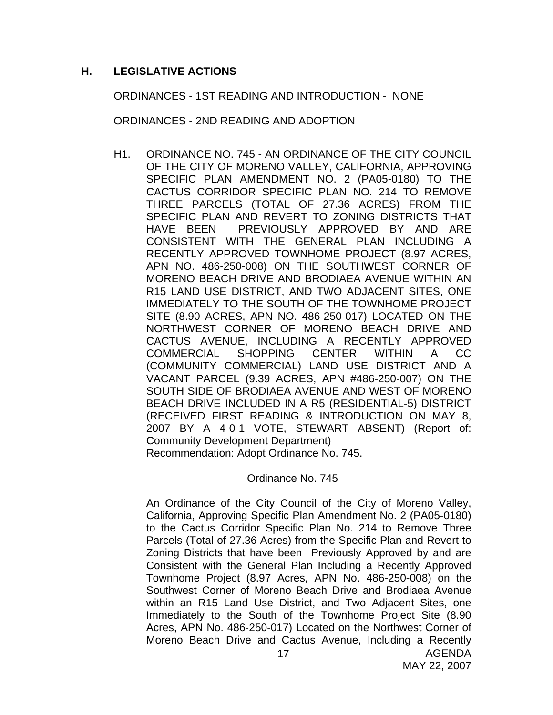#### **H. LEGISLATIVE ACTIONS**

ORDINANCES - 1ST READING AND INTRODUCTION - NONE

ORDINANCES - 2ND READING AND ADOPTION

H1. ORDINANCE NO. 745 - AN ORDINANCE OF THE CITY COUNCIL OF THE CITY OF MORENO VALLEY, CALIFORNIA, APPROVING SPECIFIC PLAN AMENDMENT NO. 2 (PA05-0180) TO THE CACTUS CORRIDOR SPECIFIC PLAN NO. 214 TO REMOVE THREE PARCELS (TOTAL OF 27.36 ACRES) FROM THE SPECIFIC PLAN AND REVERT TO ZONING DISTRICTS THAT HAVE BEEN PREVIOUSLY APPROVED BY AND ARE CONSISTENT WITH THE GENERAL PLAN INCLUDING A RECENTLY APPROVED TOWNHOME PROJECT (8.97 ACRES, APN NO. 486-250-008) ON THE SOUTHWEST CORNER OF MORENO BEACH DRIVE AND BRODIAEA AVENUE WITHIN AN R15 LAND USE DISTRICT, AND TWO ADJACENT SITES, ONE IMMEDIATELY TO THE SOUTH OF THE TOWNHOME PROJECT SITE (8.90 ACRES, APN NO. 486-250-017) LOCATED ON THE NORTHWEST CORNER OF MORENO BEACH DRIVE AND CACTUS AVENUE, INCLUDING A RECENTLY APPROVED COMMERCIAL SHOPPING CENTER WITHIN A CC (COMMUNITY COMMERCIAL) LAND USE DISTRICT AND A VACANT PARCEL (9.39 ACRES, APN #486-250-007) ON THE SOUTH SIDE OF BRODIAEA AVENUE AND WEST OF MORENO BEACH DRIVE INCLUDED IN A R5 (RESIDENTIAL-5) DISTRICT (RECEIVED FIRST READING & INTRODUCTION ON MAY 8, 2007 BY A 4-0-1 VOTE, STEWART ABSENT) (Report of: Community Development Department) Recommendation: Adopt Ordinance No. 745.

Ordinance No. 745

AGENDA An Ordinance of the City Council of the City of Moreno Valley, California, Approving Specific Plan Amendment No. 2 (PA05-0180) to the Cactus Corridor Specific Plan No. 214 to Remove Three Parcels (Total of 27.36 Acres) from the Specific Plan and Revert to Zoning Districts that have been Previously Approved by and are Consistent with the General Plan Including a Recently Approved Townhome Project (8.97 Acres, APN No. 486-250-008) on the Southwest Corner of Moreno Beach Drive and Brodiaea Avenue within an R15 Land Use District, and Two Adjacent Sites, one Immediately to the South of the Townhome Project Site (8.90 Acres, APN No. 486-250-017) Located on the Northwest Corner of Moreno Beach Drive and Cactus Avenue, Including a Recently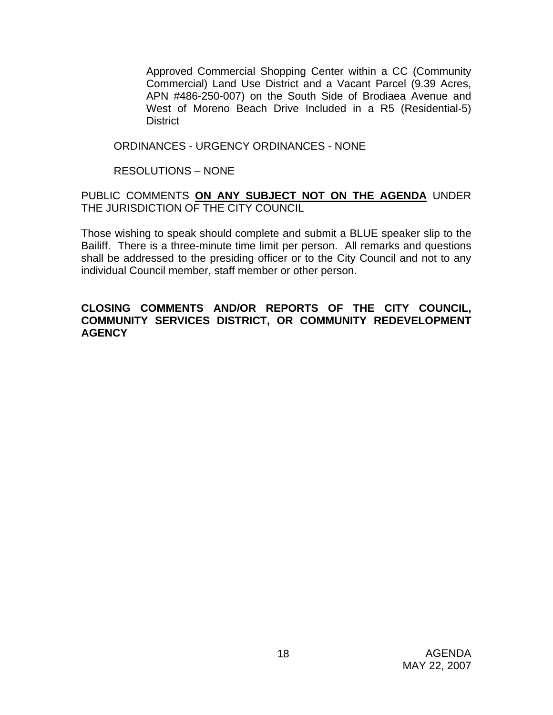Approved Commercial Shopping Center within a CC (Community Commercial) Land Use District and a Vacant Parcel (9.39 Acres, APN #486-250-007) on the South Side of Brodiaea Avenue and West of Moreno Beach Drive Included in a R5 (Residential-5) **District** 

#### ORDINANCES - URGENCY ORDINANCES - NONE

#### RESOLUTIONS – NONE

#### PUBLIC COMMENTS **ON ANY SUBJECT NOT ON THE AGENDA** UNDER THE JURISDICTION OF THE CITY COUNCIL

Those wishing to speak should complete and submit a BLUE speaker slip to the Bailiff. There is a three-minute time limit per person. All remarks and questions shall be addressed to the presiding officer or to the City Council and not to any individual Council member, staff member or other person.

#### **CLOSING COMMENTS AND/OR REPORTS OF THE CITY COUNCIL, COMMUNITY SERVICES DISTRICT, OR COMMUNITY REDEVELOPMENT AGENCY**